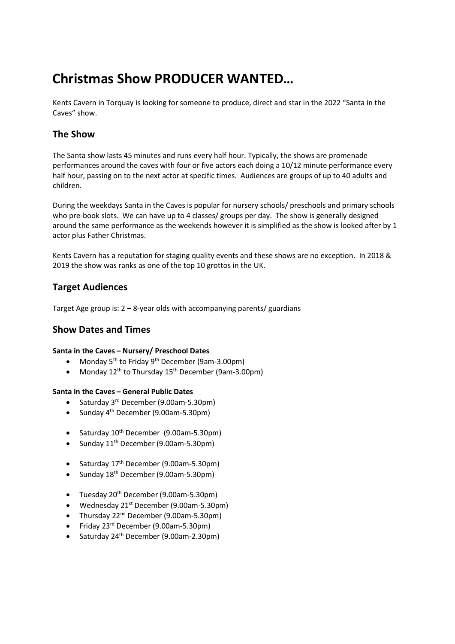# Christmas Show PRODUCER WANTED…

Kents Cavern in Torquay is looking for someone to produce, direct and star in the 2022 "Santa in the Caves" show.

# The Show

The Santa show lasts 45 minutes and runs every half hour. Typically, the shows are promenade performances around the caves with four or five actors each doing a 10/12 minute performance every half hour, passing on to the next actor at specific times. Audiences are groups of up to 40 adults and children.

During the weekdays Santa in the Caves is popular for nursery schools/ preschools and primary schools who pre-book slots. We can have up to 4 classes/ groups per day. The show is generally designed around the same performance as the weekends however it is simplified as the show is looked after by 1 actor plus Father Christmas.

Kents Cavern has a reputation for staging quality events and these shows are no exception. In 2018 & 2019 the show was ranks as one of the top 10 grottos in the UK.

# Target Audiences

Target Age group is: 2 – 8-year olds with accompanying parents/ guardians

## Show Dates and Times

### Santa in the Caves – Nursery/ Preschool Dates

- Monday  $5^{th}$  to Friday  $9^{th}$  December (9am-3.00pm)
- Monday  $12^{th}$  to Thursday  $15^{th}$  December (9am-3.00pm)

#### Santa in the Caves – General Public Dates

- $\bullet$  Saturday 3<sup>rd</sup> December (9.00am-5.30pm)
- Sunday  $4<sup>th</sup>$  December (9.00am-5.30pm)
- Saturday  $10^{th}$  December (9.00am-5.30pm)
- Sunday  $11^{th}$  December (9.00am-5.30pm)
- Saturday  $17<sup>th</sup>$  December (9.00am-5.30pm)
- Sunday  $18^{th}$  December (9.00am-5.30pm)
- Tuesday 20<sup>th</sup> December (9.00am-5.30pm)
- Wednesday  $21^{st}$  December (9.00am-5.30pm)
- Thursday 22<sup>nd</sup> December (9.00am-5.30pm)
- Friday 23<sup>rd</sup> December (9.00am-5.30pm)
- Saturday 24th December (9.00am-2.30pm)